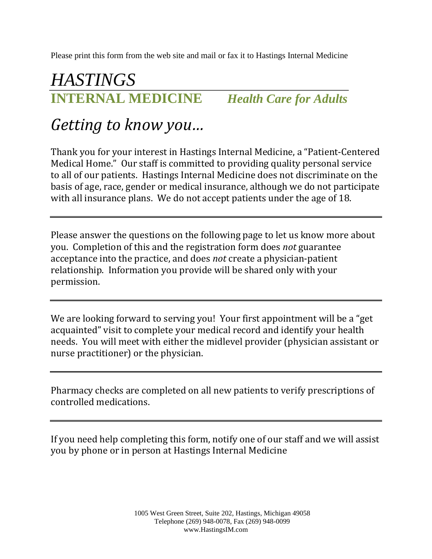Please print this form from the web site and mail or fax it to Hastings Internal Medicine

### *HASTINGS* **INTERNAL MEDICINE** *Health Care for Adults*

# *Getting to know you…*

Thank you for your interest in Hastings Internal Medicine, a "Patient-Centered Medical Home." Our staff is committed to providing quality personal service to all of our patients. Hastings Internal Medicine does not discriminate on the basis of age, race, gender or medical insurance, although we do not participate with all insurance plans. We do not accept patients under the age of 18.

Please answer the questions on the following page to let us know more about you. Completion of this and the registration form does *not* guarantee acceptance into the practice, and does *not* create a physician-patient relationship. Information you provide will be shared only with your permission.

We are looking forward to serving you! Your first appointment will be a "get acquainted" visit to complete your medical record and identify your health needs. You will meet with either the midlevel provider (physician assistant or nurse practitioner) or the physician.

Pharmacy checks are completed on all new patients to verify prescriptions of controlled medications.

If you need help completing this form, notify one of our staff and we will assist you by phone or in person at Hastings Internal Medicine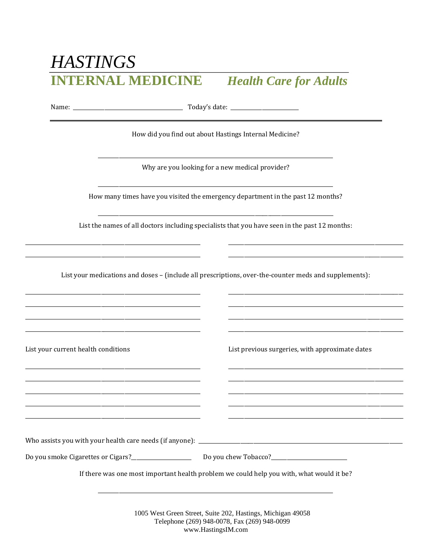## **HASTINGS INTERNAL MEDICINE**

### **Health Care for Adults**

How did you find out about Hastings Internal Medicine?

Why are you looking for a new medical provider?

How many times have you visited the emergency department in the past 12 months?

List the names of all doctors including specialists that you have seen in the past 12 months:

List your medications and doses - (include all prescriptions, over-the-counter meds and supplements):

List your current health conditions

List previous surgeries, with approximate dates

Who assists you with your health care needs (if anyone): \_\_\_\_\_\_\_\_\_

If there was one most important health problem we could help you with, what would it be?

1005 West Green Street, Suite 202, Hastings, Michigan 49058 Telephone (269) 948-0078, Fax (269) 948-0099 www.HastingsIM.com